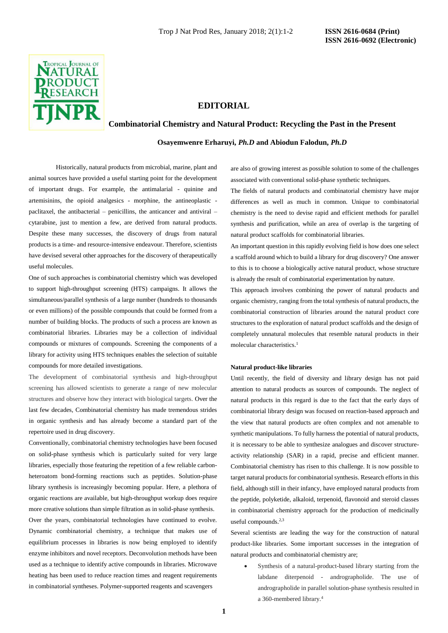

# **EDITORIAL**

# **Combinatorial Chemistry and Natural Product: Recycling the Past in the Present**

**Osayemwenre Erharuyi,** *Ph.D* **and Abiodun Falodun,** *Ph.D*

Historically, natural products from microbial, marine, plant and animal sources have provided a useful starting point for the development of important drugs. For example, the antimalarial - quinine and artemisinins, the opioid analgesics - morphine, the antineoplastic paclitaxel, the antibacterial – penicillins, the anticancer and antiviral – cytarabine, just to mention a few, are derived from natural products. Despite these many successes, the discovery of drugs from natural products is a time- and resource-intensive endeavour. Therefore, scientists have devised several other approaches for the discovery of therapeutically useful molecules.

One of such approaches is combinatorial chemistry which was developed to support high-throughput screening (HTS) campaigns. It allows the simultaneous/parallel synthesis of a large number (hundreds to thousands or even millions) of the possible compounds that could be formed from a number of building blocks. The products of such a process are known as combinatorial libraries. Libraries may be a collection of individual compounds or mixtures of compounds. Screening the components of a library for activity using HTS techniques enables the selection of suitable compounds for more detailed investigations.

The development of combinatorial synthesis and high-throughput screening has allowed scientists to generate a range of new molecular structures and observe how they interact with biological targets. Over the last few decades, Combinatorial chemistry has made tremendous strides in organic synthesis and has already become a standard part of the repertoire used in drug discovery.

Conventionally, combinatorial chemistry technologies have been focused on solid-phase synthesis which is particularly suited for very large libraries, especially those featuring the repetition of a few reliable carbonheteroatom bond-forming reactions such as peptides. Solution-phase library synthesis is increasingly becoming popular. Here, a plethora of organic reactions are available, but high-throughput workup does require more creative solutions than simple filtration as in solid-phase synthesis. Over the years, combinatorial technologies have continued to evolve. Dynamic combinatorial chemistry, a technique that makes use of equilibrium processes in libraries is now being employed to identify enzyme inhibitors and novel receptors. Deconvolution methods have been used as a technique to identify active compounds in libraries. Microwave heating has been used to reduce reaction times and reagent requirements in combinatorial syntheses. Polymer-supported reagents and scavengers

are also of growing interest as possible solution to some of the challenges associated with conventional solid-phase synthetic techniques.

The fields of natural products and combinatorial chemistry have major differences as well as much in common. Unique to combinatorial chemistry is the need to devise rapid and efficient methods for parallel synthesis and purification, while an area of overlap is the targeting of natural product scaffolds for combinatorial libraries.

An important question in this rapidly evolving field is how does one select a scaffold around which to build a library for drug discovery? One answer to this is to choose a biologically active natural product, whose structure is already the result of combinatorial experimentation by nature.

This approach involves combining the power of natural products and organic chemistry, ranging from the total synthesis of natural products, the combinatorial construction of libraries around the natural product core structures to the exploration of natural product scaffolds and the design of completely unnatural molecules that resemble natural products in their molecular characteristics.<sup>1</sup>

#### **Natural product-like libraries**

Until recently, the field of diversity and library design has not paid attention to natural products as sources of compounds. The neglect of natural products in this regard is due to the fact that the early days of combinatorial library design was focused on reaction-based approach and the view that natural products are often complex and not amenable to synthetic manipulations. To fully harness the potential of natural products, it is necessary to be able to synthesize analogues and discover structureactivity relationship (SAR) in a rapid, precise and efficient manner. Combinatorial chemistry has risen to this challenge. It is now possible to target natural products for combinatorial synthesis. Research efforts in this field, although still in their infancy, have employed natural products from the peptide, polyketide, alkaloid, terpenoid, flavonoid and steroid classes in combinatorial chemistry approach for the production of medicinally useful compounds.2,3

Several scientists are leading the way for the construction of natural product-like libraries. Some important successes in the integration of natural products and combinatorial chemistry are;

• Synthesis of a natural-product-based library starting from the labdane diterpenoid - andrographolide. The use of andrographolide in parallel solution-phase synthesis resulted in a 360-membered library.<sup>4</sup>